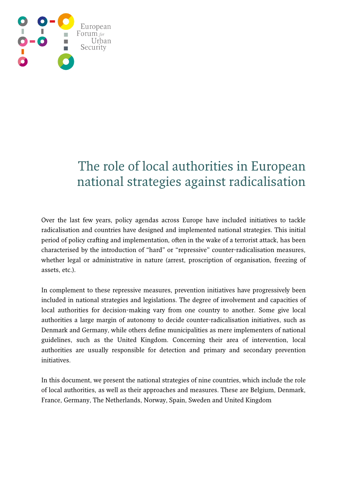

# The role of local authorities in European national strategies against radicalisation

Over the last few years, policy agendas across Europe have included initiatives to tackle radicalisation and countries have designed and implemented national strategies. This initial period of policy crafting and implementation, often in the wake of a terrorist attack, has been characterised by the introduction of "hard" or "repressive" counter-radicalisation measures, whether legal or administrative in nature (arrest, proscription of organisation, freezing of assets, etc.).

In complement to these repressive measures, prevention initiatives have progressively been included in national strategies and legislations. The degree of involvement and capacities of local authorities for decision-making vary from one country to another. Some give local authorities a large margin of autonomy to decide counter-radicalisation initiatives, such as Denmark and Germany, while others define municipalities as mere implementers of national guidelines, such as the United Kingdom. Concerning their area of intervention, local authorities are usually responsible for detection and primary and secondary prevention initiatives.

In this document, we present the national strategies of nine countries, which include the role of local authorities, as well as their approaches and measures. These are Belgium, Denmark, France, Germany, The Netherlands, Norway, Spain, Sweden and United Kingdom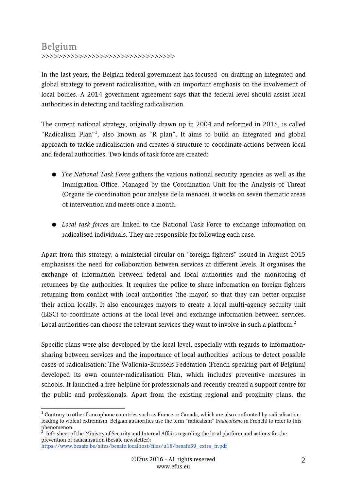# Belgium

>>>>>>>>>>>>>>>>>>>>>>>>>>>>>>>>

In the last years, the Belgian federal government has focused on drafting an integrated and global strategy to prevent radicalisation, with an important emphasis on the involvement of local bodies. A 2014 government agreement says that the federal level should assist local authorities in detecting and tackling radicalisation.

The current national strategy, originally drawn up in 2004 and reformed in 2015, is called "Radicalism Plan"<sup>1</sup>, also known as "R plan". It aims to build an integrated and global approach to tackle radicalisation and creates a structure to coordinate actions between local and federal authorities. Two kinds of task force are created:

- The National Task Force gathers the various national security agencies as well as the Immigration Office. Managed by the Coordination Unit for the Analysis of Threat (Organe de coordination pour analyse de la menace), it works on seven thematic areas of intervention and meets once a month.
- Local task forces are linked to the National Task Force to exchange information on radicalised individuals. They are responsible for following each case.

Apart from this strategy, a ministerial circular on "foreign fighters" issued in August 2015 emphasises the need for collaboration between services at different levels. It organises the exchange of information between federal and local authorities and the monitoring of returnees by the authorities. It requires the police to share information on foreign fighters returning from conflict with local authorities (the mayor) so that they can better organise their action locally. It also encourages mayors to create a local multi-agency security unit (LISC) to coordinate actions at the local level and exchange information between services. Local authorities can choose the relevant services they want to involve in such a platform.<sup>2</sup>

Specific plans were also developed by the local level, especially with regards to informationsharing between services and the importance of local authorities' actions to detect possible cases of radicalisation: The Wallonia-Brussels Federation (French speaking part of Belgium) developed its own counter-radicalisation Plan, which includes preventive measures in schools. It launched a free helpline for professionals and recently created a support centre for the public and professionals. Apart from the existing regional and proximity plans, the

 1 Contrary to other francophone countries such as France or Canada, which are also confronted by radicalisation leading to violent extremism, Belgian authorities use the term "radicalism" (radicalisme in French) to refer to this phenomenon.<br><sup>2</sup> Info sheet of

Info sheet of the Ministry of Security and Internal Affairs regarding the local platform and actions for the prevention of radicalisation (Besafe newsletter):

https://www.besafe.be/sites/besafe.localhost/files/u18/besafe39\_extra\_fr.pdf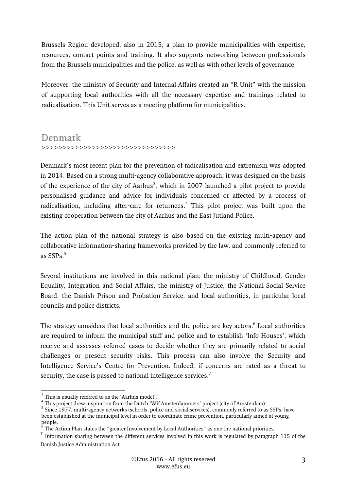Brussels Region developed, also in 2015, a plan to provide municipalities with expertise, resources, contact points and training. It also supports networking between professionals from the Brussels municipalities and the police, as well as with other levels of governance.

Moreover, the ministry of Security and Internal Affairs created an "R Unit" with the mission of supporting local authorities with all the necessary expertise and trainings related to radicalisation. This Unit serves as a meeting platform for municipalities.

## Denmark >>>>>>>>>>>>>>>>>>>>>>>>>>>>>>>>

Denmark's most recent plan for the prevention of radicalisation and extremism was adopted in 2014. Based on a strong multi-agency collaborative approach, it was designed on the basis of the experience of the city of Aarhus<sup>3</sup>, which in 2007 launched a pilot project to provide personalised guidance and advice for individuals concerned or affected by a process of radicalisation, including after-care for returnees.<sup>4</sup> This pilot project was built upon the existing cooperation between the city of Aarhus and the East Jutland Police.

The action plan of the national strategy is also based on the existing multi-agency and collaborative information-sharing frameworks provided by the law, and commonly referred to as  $SSPs.<sup>5</sup>$ 

Several institutions are involved in this national plan: the ministry of Childhood, Gender Equality, Integration and Social Affairs, the ministry of Justice, the National Social Service Board, the Danish Prison and Probation Service, and local authorities, in particular local councils and police districts.

The strategy considers that local authorities and the police are key actors.<sup>6</sup> Local authorities are required to inform the municipal staff and police and to establish 'Info Houses', which receive and assesses referred cases to decide whether they are primarily related to social challenges or present security risks. This process can also involve the Security and Intelligence Service's Centre for Prevention. Indeed, if concerns are rated as a threat to security, the case is passed to national intelligence services.<sup>7</sup>

 $\frac{3}{3}$  This is usually referred to as the 'Aarhus model'.

 $^{4}$  This project drew inspiration from the Dutch 'Wif Amsterdammers' project (city of Amsterdam)

<sup>&</sup>lt;sup>5</sup> Since 1977, multi-agency networks (schools, police and social services), commonly referred to as SSPs, have been established at the municipal level in order to coordinate crime prevention, particularly aimed at young people.<br><sup>6</sup> تله م

The Action Plan states the "greater Involvement by Local Authorities" as one the national priorities.

 $<sup>7</sup>$  Information sharing between the different services involved in this work is regulated by paragraph 115 of the</sup> Danish Justice Administration Act.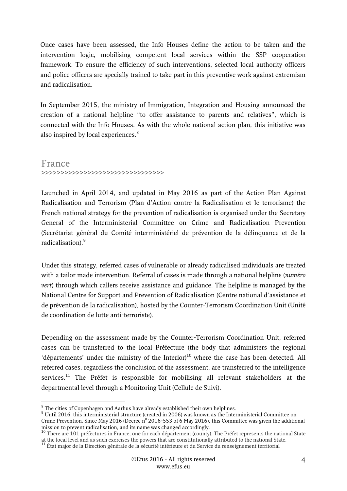Once cases have been assessed, the Info Houses define the action to be taken and the intervention logic, mobilising competent local services within the SSP cooperation framework. To ensure the efficiency of such interventions, selected local authority officers and police officers are specially trained to take part in this preventive work against extremism and radicalisation.

In September 2015, the ministry of Immigration, Integration and Housing announced the creation of a national helpline "to offer assistance to parents and relatives", which is connected with the Info Houses. As with the whole national action plan, this initiative was also inspired by local experiences.<sup>8</sup>

#### France >>>>>>>>>>>>>>>>>>>>>>>>>>>>>>>>

Launched in April 2014, and updated in May 2016 as part of the Action Plan Against Radicalisation and Terrorism (Plan d'Action contre la Radicalisation et le terrorisme) the French national strategy for the prevention of radicalisation is organised under the Secretary General of the Interministerial Committee on Crime and Radicalisation Prevention (Secrétariat général du Comité interministériel de prévention de la délinquance et de la radicalisation).<sup>9</sup>

Under this strategy, referred cases of vulnerable or already radicalised individuals are treated with a tailor made intervention. Referral of cases is made through a national helpline (numéro vert) through which callers receive assistance and guidance. The helpline is managed by the National Centre for Support and Prevention of Radicalisation (Centre national d'assistance et de prévention de la radicalisation), hosted by the Counter-Terrorism Coordination Unit (Unité de coordination de lutte anti-terroriste).

Depending on the assessment made by the Counter-Terrorism Coordination Unit, referred cases can be transferred to the local Préfecture (the body that administers the regional 'départements' under the ministry of the Interior)<sup>10</sup> where the case has been detected. All referred cases, regardless the conclusion of the assessment, are transferred to the intelligence services.<sup>11</sup> The Préfet is responsible for mobilising all relevant stakeholders at the departmental level through a Monitoring Unit (Cellule de Suivi).

 8 The cities of Copenhagen and Aarhus have already established their own helplines.

<sup>&</sup>lt;sup>9</sup> Until 2016, this interministerial structure (created in 2006) was known as the Interministerial Committee on Crime Prevention. Since May 2016 (Decree  $n^{\circ}$  2016-553 of 6 May 2016), this Committee was given the additional mission to prevent radicalisation, and its name was changed accordingly.

<sup>&</sup>lt;sup>10</sup> There are 101 préfectures in France, one for each département (county). The Préfet represents the national State at the local level and as such exercises the powers that are constitutionally attributed to the national State.

<sup>&</sup>lt;sup>11</sup> État major de la Direction générale de la sécurité intérieure et du Service du renseignement territorial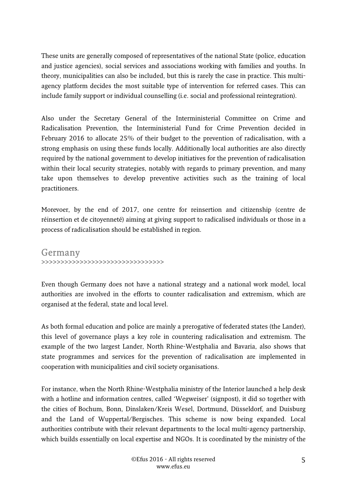These units are generally composed of representatives of the national State (police, education and justice agencies), social services and associations working with families and youths. In theory, municipalities can also be included, but this is rarely the case in practice. This multiagency platform decides the most suitable type of intervention for referred cases. This can include family support or individual counselling (i.e. social and professional reintegration).

Also under the Secretary General of the Interministerial Committee on Crime and Radicalisation Prevention, the Interministerial Fund for Crime Prevention decided in February 2016 to allocate 25% of their budget to the prevention of radicalisation, with a strong emphasis on using these funds locally. Additionally local authorities are also directly required by the national government to develop initiatives for the prevention of radicalisation within their local security strategies, notably with regards to primary prevention, and many take upon themselves to develop preventive activities such as the training of local practitioners.

Morevoer, by the end of 2017, one centre for reinsertion and citizenship (centre de réinsertion et de citoyenneté) aiming at giving support to radicalised individuals or those in a process of radicalisation should be established in region.

Germany >>>>>>>>>>>>>>>>>>>>>>>>>>>>>>>>

Even though Germany does not have a national strategy and a national work model, local authorities are involved in the efforts to counter radicalisation and extremism, which are organised at the federal, state and local level.

As both formal education and police are mainly a prerogative of federated states (the Lander), this level of governance plays a key role in countering radicalisation and extremism. The example of the two largest Lander, North Rhine-Westphalia and Bavaria, also shows that state programmes and services for the prevention of radicalisation are implemented in cooperation with municipalities and civil society organisations.

For instance, when the North Rhine-Westphalia ministry of the Interior launched a help desk with a hotline and information centres, called 'Wegweiser' (signpost), it did so together with the cities of Bochum, Bonn, Dinslaken/Kreis Wesel, Dortmund, Düsseldorf, and Duisburg and the Land of Wuppertal/Bergisches. This scheme is now being expanded. Local authorities contribute with their relevant departments to the local multi-agency partnership, which builds essentially on local expertise and NGOs. It is coordinated by the ministry of the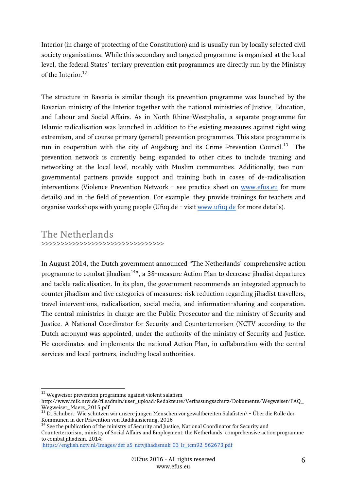Interior (in charge of protecting of the Constitution) and is usually run by locally selected civil society organisations. While this secondary and targeted programme is organised at the local level, the federal States' tertiary prevention exit programmes are directly run by the Ministry of the Interior<sup>12</sup>

The structure in Bavaria is similar though its prevention programme was launched by the Bavarian ministry of the Interior together with the national ministries of Justice, Education, and Labour and Social Affairs. As in North Rhine-Westphalia, a separate programme for Islamic radicalisation was launched in addition to the existing measures against right wing extremism, and of course primary (general) prevention programmes. This state programme is run in cooperation with the city of Augsburg and its Crime Prevention Council.<sup>13</sup> The prevention network is currently being expanded to other cities to include training and networking at the local level, notably with Muslim communities. Additionally, two nongovernmental partners provide support and training both in cases of de-radicalisation interventions (Violence Prevention Network – see practice sheet on www.efus.eu for more details) and in the field of prevention. For example, they provide trainings for teachers and organise workshops with young people (Ufuq.de – visit www.ufuq.de for more details).

### The Netherlands >>>>>>>>>>>>>>>>>>>>>>>>>>>>>>>>

In August 2014, the Dutch government announced "The Netherlands' comprehensive action programme to combat jihadism<sup>14</sup>", a 38-measure Action Plan to decrease jihadist departures and tackle radicalisation. In its plan, the government recommends an integrated approach to counter jihadism and five categories of measures: risk reduction regarding jihadist travellers, travel interventions, radicalisation, social media, and information-sharing and cooperation. The central ministries in charge are the Public Prosecutor and the ministry of Security and Justice. A National Coordinator for Security and Counterterrorism (NCTV according to the Dutch acronym) was appointed, under the authority of the ministry of Security and Justice. He coordinates and implements the national Action Plan, in collaboration with the central services and local partners, including local authorities.

<sup>-</sup> $12$  Wegweiser prevention programme against violent salafism

http://www.mik.nrw.de/fileadmin/user\_upload/Redakteure/Verfassungsschutz/Dokumente/Wegweiser/FAQ\_ Wegweiser\_Maerz\_2015.pdf

<sup>13</sup> D. Schubert: Wie schützen wir unsere jungen Menschen vor gewaltbereiten Salafisten? – Über die Rolle der Kommunen in der Prävention von Radikalisierung, 2016

<sup>&</sup>lt;sup>4</sup> See the publication of the ministry of Security and Justice, National Coordinator for Security and

Counterterrorism, ministry of Social Affairs and Employment: the Netherlands' comprehensive action programme to combat jihadism, 2014:

https://english.nctv.nl/Images/def-a5-nctvjihadismuk-03-lr\_tcm92-562673.pdf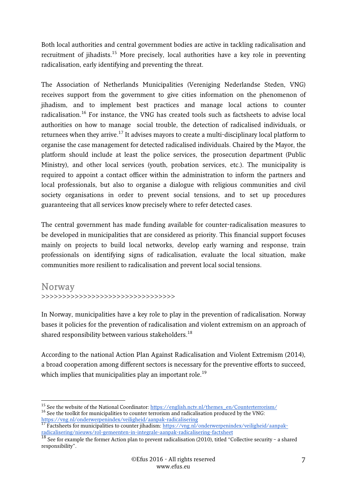Both local authorities and central government bodies are active in tackling radicalisation and recruitment of jihadists.<sup>15</sup> More precisely, local authorities have a key role in preventing radicalisation, early identifying and preventing the threat.

The Association of Netherlands Municipalities (Vereniging Nederlandse Steden, VNG) receives support from the government to give cities information on the phenomenon of jihadism, and to implement best practices and manage local actions to counter radicalisation.<sup>16</sup> For instance, the VNG has created tools such as factsheets to advise local authorities on how to manage social trouble, the detection of radicalised individuals, or returnees when they arrive.<sup>17</sup> It advises mayors to create a multi-disciplinary local platform to organise the case management for detected radicalised individuals. Chaired by the Mayor, the platform should include at least the police services, the prosecution department (Public Ministry), and other local services (youth, probation services, etc.). The municipality is required to appoint a contact officer within the administration to inform the partners and local professionals, but also to organise a dialogue with religious communities and civil society organisations in order to prevent social tensions, and to set up procedures guaranteeing that all services know precisely where to refer detected cases.

The central government has made funding available for counter-radicalisation measures to be developed in municipalities that are considered as priority. This financial support focuses mainly on projects to build local networks, develop early warning and response, train professionals on identifying signs of radicalisation, evaluate the local situation, make communities more resilient to radicalisation and prevent local social tensions.

#### Norway

>>>>>>>>>>>>>>>>>>>>>>>>>>>>>>>>

In Norway, municipalities have a key role to play in the prevention of radicalisation. Norway bases it policies for the prevention of radicalisation and violent extremism on an approach of shared responsibility between various stakeholders.<sup>18</sup>

According to the national Action Plan Against Radicalisation and Violent Extremism (2014), a broad cooperation among different sectors is necessary for the preventive efforts to succeed, which implies that municipalities play an important role. $^{19}$ 

 $\overline{1}$ <sup>15</sup> See the website of the National Coordinator: https://english.nctv.nl/themes\_en/Counterterrorism/

<sup>&</sup>lt;sup>16</sup> See the toolkit for municipalities to counter terrorism and radicalisation produced by the VNG: https://vng.nl/onderwerpenindex/veiligheid/aanpak-radicalisering

<sup>&</sup>lt;sup>17</sup> Factsheets for municipalities to counter jihadism: https://vng.nl/onderwerpenindex/veiligheid/aanpakradicalisering/nieuws/rol-gemeenten-in-integrale-aanpak-radicalisering-factsheet

 $^{18}$  See for example the former Action plan to prevent radicalisation (2010), titled "Collective security - a shared responsibility".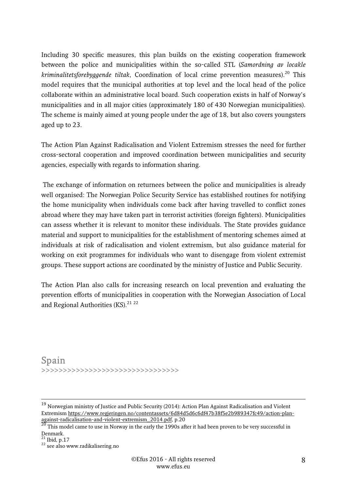Including 30 specific measures, this plan builds on the existing cooperation framework between the police and municipalities within the so-called STL (Samordning av locakle kriminalitetsforebyggende tiltak, Coordination of local crime prevention measures).<sup>20</sup> This model requires that the municipal authorities at top level and the local head of the police collaborate within an administrative local board. Such cooperation exists in half of Norway's municipalities and in all major cities (approximately 180 of 430 Norwegian municipalities). The scheme is mainly aimed at young people under the age of 18, but also covers youngsters aged up to 23.

The Action Plan Against Radicalisation and Violent Extremism stresses the need for further cross-sectoral cooperation and improved coordination between municipalities and security agencies, especially with regards to information sharing.

 The exchange of information on returnees between the police and municipalities is already well organised: The Norwegian Police Security Service has established routines for notifying the home municipality when individuals come back after having travelled to conflict zones abroad where they may have taken part in terrorist activities (foreign fighters). Municipalities can assess whether it is relevant to monitor these individuals. The State provides guidance material and support to municipalities for the establishment of mentoring schemes aimed at individuals at risk of radicalisation and violent extremism, but also guidance material for working on exit programmes for individuals who want to disengage from violent extremist groups. These support actions are coordinated by the ministry of Justice and Public Security.

The Action Plan also calls for increasing research on local prevention and evaluating the prevention efforts of municipalities in cooperation with the Norwegian Association of Local and Regional Authorities (KS). $2122$ 

Spain >>>>>>>>>>>>>>>>>>>>>>>>>>>>>>>>

-

 $^{19}$  Norwegian ministry of Justice and Public Security (2014): Action Plan Against Radicalisation and Violent Extremism https://www.regjeringen.no/contentassets/6d84d5d6c6df47b38f5e2b989347fc49/action-planagainst-radicalisation-and-violent-extremism\_2014.pdf, p.20

 $^{20}$  This model came to use in Norway in the early the 1990s after it had been proven to be very successful in Denmark.

 $21$  Ibid, p.17

<sup>&</sup>lt;sup>22</sup> see also www.radikalisering.no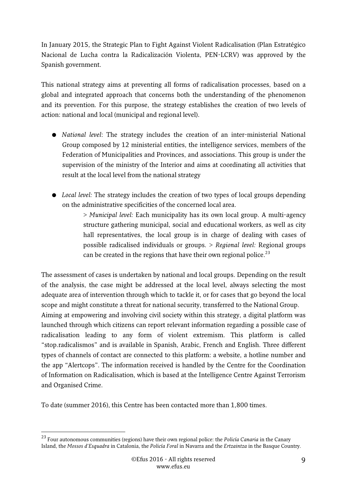In January 2015, the Strategic Plan to Fight Against Violent Radicalisation (Plan Estratégico Nacional de Lucha contra la Radicalización Violenta, PEN-LCRV) was approved by the Spanish government.

This national strategy aims at preventing all forms of radicalisation processes, based on a global and integrated approach that concerns both the understanding of the phenomenon and its prevention. For this purpose, the strategy establishes the creation of two levels of action: national and local (municipal and regional level).

- National level: The strategy includes the creation of an inter-ministerial National Group composed by 12 ministerial entities, the intelligence services, members of the Federation of Municipalities and Provinces, and associations. This group is under the supervision of the ministry of the Interior and aims at coordinating all activities that result at the local level from the national strategy
- Local level: The strategy includes the creation of two types of local groups depending on the administrative specificities of the concerned local area.

> Municipal level: Each municipality has its own local group. A multi-agency structure gathering municipal, social and educational workers, as well as city hall representatives, the local group is in charge of dealing with cases of possible radicalised individuals or groups. > Regional level: Regional groups can be created in the regions that have their own regional police.<sup>23</sup>

The assessment of cases is undertaken by national and local groups. Depending on the result of the analysis, the case might be addressed at the local level, always selecting the most adequate area of intervention through which to tackle it, or for cases that go beyond the local scope and might constitute a threat for national security, transferred to the National Group.

Aiming at empowering and involving civil society within this strategy, a digital platform was launched through which citizens can report relevant information regarding a possible case of radicalisation leading to any form of violent extremism. This platform is called "stop.radicalismos" and is available in Spanish, Arabic, French and English. Three different types of channels of contact are connected to this platform: a website, a hotline number and the app "Alertcops". The information received is handled by the Centre for the Coordination of Information on Radicalisation, which is based at the Intelligence Centre Against Terrorism and Organised Crime.

To date (summer 2016), this Centre has been contacted more than 1,800 times.

<sup>-</sup> $^{23}$  Four autonomous communities (regions) have their own regional police: the *Policía Canaria* in the Canary Island, the Mossos d'Esquadra in Catalonia, the Policía Foral in Navarra and the Ertzaintza in the Basque Country.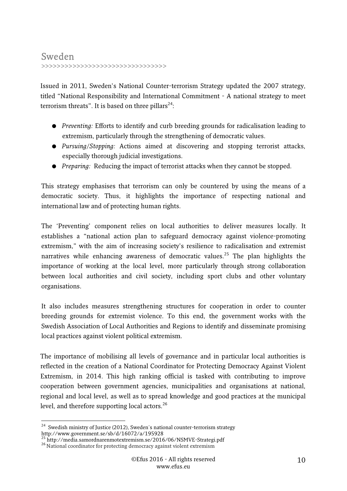### Sweden >>>>>>>>>>>>>>>>>>>>>>>>>>>>>>>>

Issued in 2011, Sweden's National Counter-terrorism Strategy updated the 2007 strategy, titled "National Responsibility and International Commitment - A national strategy to meet terrorism threats". It is based on three pillars<sup>24</sup>:

- Preventing: Efforts to identify and curb breeding grounds for radicalisation leading to extremism, particularly through the strengthening of democratic values.
- Pursuing/Stopping: Actions aimed at discovering and stopping terrorist attacks, especially thorough judicial investigations.
- Preparing: Reducing the impact of terrorist attacks when they cannot be stopped.

This strategy emphasises that terrorism can only be countered by using the means of a democratic society. Thus, it highlights the importance of respecting national and international law and of protecting human rights.

The 'Preventing' component relies on local authorities to deliver measures locally. It establishes a "national action plan to safeguard democracy against violence-promoting extremism," with the aim of increasing society's resilience to radicalisation and extremist narratives while enhancing awareness of democratic values.<sup>25</sup> The plan highlights the importance of working at the local level, more particularly through strong collaboration between local authorities and civil society, including sport clubs and other voluntary organisations.

It also includes measures strengthening structures for cooperation in order to counter breeding grounds for extremist violence. To this end, the government works with the Swedish Association of Local Authorities and Regions to identify and disseminate promising local practices against violent political extremism.

The importance of mobilising all levels of governance and in particular local authorities is reflected in the creation of a National Coordinator for Protecting Democracy Against Violent Extremism, in 2014. This high ranking official is tasked with contributing to improve cooperation between government agencies, municipalities and organisations at national, regional and local level, as well as to spread knowledge and good practices at the municipal level, and therefore supporting local actors.<sup>26</sup>

<sup>-</sup> $24$  Swedish ministry of Justice (2012), Sweden's national counter-terrorism strategy http://www.government.se/sb/d/16072/a/195928

<sup>&</sup>lt;sup>25</sup> http://media.samordnarenmotextremism.se/2016/06/NSMVE-Strategi.pdf

<sup>&</sup>lt;sup>26</sup> National coordinator for protecting democracy against violent extremism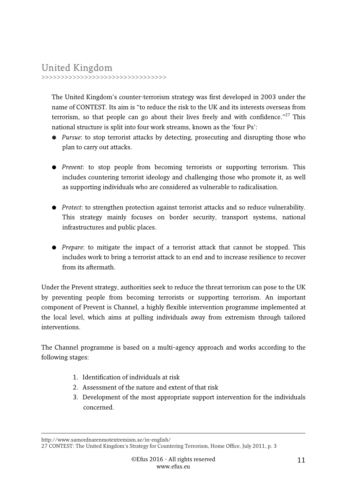# United Kingdom

>>>>>>>>>>>>>>>>>>>>>>>>>>>>>>>>

The United Kingdom's counter-terrorism strategy was first developed in 2003 under the name of CONTEST. Its aim is "to reduce the risk to the UK and its interests overseas from terrorism, so that people can go about their lives freely and with confidence." $27$  This national structure is split into four work streams, known as the 'four Ps':

- Pursue: to stop terrorist attacks by detecting, prosecuting and disrupting those who plan to carry out attacks.
- Prevent: to stop people from becoming terrorists or supporting terrorism. This includes countering terrorist ideology and challenging those who promote it, as well as supporting individuals who are considered as vulnerable to radicalisation.
- Protect: to strengthen protection against terrorist attacks and so reduce vulnerability. This strategy mainly focuses on border security, transport systems, national infrastructures and public places.
- Prepare: to mitigate the impact of a terrorist attack that cannot be stopped. This includes work to bring a terrorist attack to an end and to increase resilience to recover from its aftermath.

Under the Prevent strategy, authorities seek to reduce the threat terrorism can pose to the UK by preventing people from becoming terrorists or supporting terrorism. An important component of Prevent is Channel, a highly flexible intervention programme implemented at the local level, which aims at pulling individuals away from extremism through tailored interventions.

The Channel programme is based on a multi-agency approach and works according to the following stages:

- 1. Identification of individuals at risk
- 2. Assessment of the nature and extent of that risk
- 3. Development of the most appropriate support intervention for the individuals concerned.

http://www.samordnarenmotextremism.se/in-english/

<sup>27</sup> CONTEST: The United Kingdom's Strategy for Countering Terrorism, Home Office, July 2011, p. 3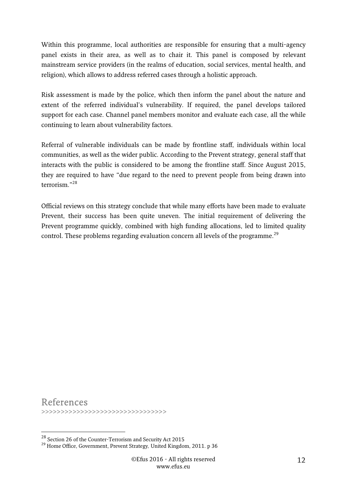Within this programme, local authorities are responsible for ensuring that a multi-agency panel exists in their area, as well as to chair it. This panel is composed by relevant mainstream service providers (in the realms of education, social services, mental health, and religion), which allows to address referred cases through a holistic approach.

Risk assessment is made by the police, which then inform the panel about the nature and extent of the referred individual's vulnerability. If required, the panel develops tailored support for each case. Channel panel members monitor and evaluate each case, all the while continuing to learn about vulnerability factors.

Referral of vulnerable individuals can be made by frontline staff, individuals within local communities, as well as the wider public. According to the Prevent strategy, general staff that interacts with the public is considered to be among the frontline staff. Since August 2015, they are required to have "due regard to the need to prevent people from being drawn into terrorism."<sup>28</sup>

Official reviews on this strategy conclude that while many efforts have been made to evaluate Prevent, their success has been quite uneven. The initial requirement of delivering the Prevent programme quickly, combined with high funding allocations, led to limited quality control. These problems regarding evaluation concern all levels of the programme.<sup>29</sup>

References >>>>>>>>>>>>>>>>>>>>>>>>>>>>>>>>

-

 $^{28}$  Section 26 of the Counter-Terrorism and Security Act 2015

<sup>&</sup>lt;sup>29</sup> Home Office, Government, Prevent Strategy, United Kingdom, 2011. p 36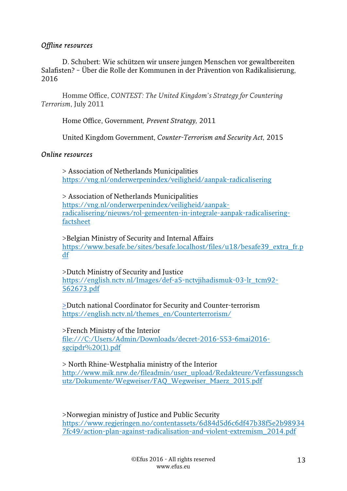#### Offline resources

D. Schubert: Wie schützen wir unsere jungen Menschen vor gewaltbereiten Salafisten? – Über die Rolle der Kommunen in der Prävention von Radikalisierung, 2016

Homme Office, CONTEST: The United Kingdom's Strategy for Countering Terrorism, July 2011

Home Office, Government, Prevent Strategy, 2011

United Kingdom Government, Counter-Terrorism and Security Act, 2015

#### Online resources

> Association of Netherlands Municipalities https://vng.nl/onderwerpenindex/veiligheid/aanpak-radicalisering

> Association of Netherlands Municipalities https://vng.nl/onderwerpenindex/veiligheid/aanpakradicalisering/nieuws/rol-gemeenten-in-integrale-aanpak-radicaliseringfactsheet

>Belgian Ministry of Security and Internal Affairs https://www.besafe.be/sites/besafe.localhost/files/u18/besafe39\_extra\_fr.p df

>Dutch Ministry of Security and Justice https://english.nctv.nl/Images/def-a5-nctvjihadismuk-03-lr\_tcm92- 562673.pdf

>Dutch national Coordinator for Security and Counter-terrorism https://english.nctv.nl/themes\_en/Counterterrorism/

>French Ministry of the Interior

file:///C:/Users/Admin/Downloads/decret-2016-553-6mai2016 sgcipdr%20(1).pdf

> North Rhine-Westphalia ministry of the Interior http://www.mik.nrw.de/fileadmin/user\_upload/Redakteure/Verfassungssch utz/Dokumente/Wegweiser/FAQ\_Wegweiser\_Maerz\_2015.pdf

>Norwegian ministry of Justice and Public Security https://www.regjeringen.no/contentassets/6d84d5d6c6df47b38f5e2b98934 7fc49/action-plan-against-radicalisation-and-violent-extremism\_2014.pdf